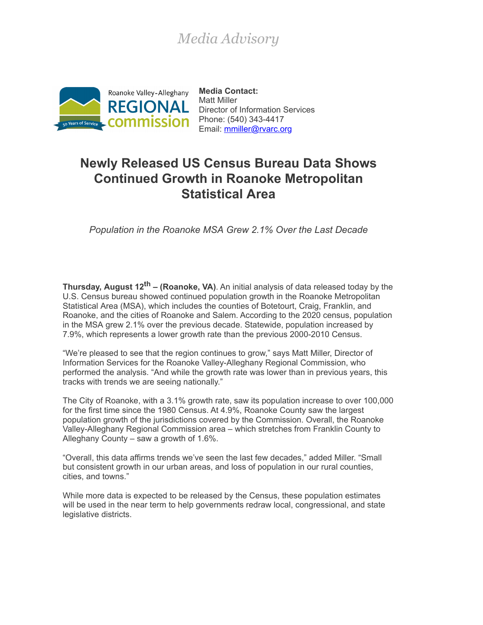## *Media Advisory*



**Media Contact:** Matt Miller Director of Information Services Email: [mmiller@rvarc.org](mailto:mmiller@rvarc.org)

## **Newly Released US Census Bureau Data Shows Continued Growth in Roanoke Metropolitan Statistical Area**

*Population in the Roanoke MSA Grew 2.1% Over the Last Decade*

**Thursday, August 12th – (Roanoke, VA)**. An initial analysis of data released today by the U.S. Census bureau showed continued population growth in the Roanoke Metropolitan Statistical Area (MSA), which includes the counties of Botetourt, Craig, Franklin, and Roanoke, and the cities of Roanoke and Salem. According to the 2020 census, population in the MSA grew 2.1% over the previous decade. Statewide, population increased by 7.9%, which represents a lower growth rate than the previous 2000-2010 Census.

"We're pleased to see that the region continues to grow," says Matt Miller, Director of Information Services for the Roanoke Valley-Alleghany Regional Commission, who performed the analysis. "And while the growth rate was lower than in previous years, this tracks with trends we are seeing nationally."

The City of Roanoke, with a 3.1% growth rate, saw its population increase to over 100,000 for the first time since the 1980 Census. At 4.9%, Roanoke County saw the largest population growth of the jurisdictions covered by the Commission. Overall, the Roanoke Valley-Alleghany Regional Commission area – which stretches from Franklin County to Alleghany County – saw a growth of 1.6%.

"Overall, this data affirms trends we've seen the last few decades," added Miller. "Small but consistent growth in our urban areas, and loss of population in our rural counties, cities, and towns."

While more data is expected to be released by the Census, these population estimates will be used in the near term to help governments redraw local, congressional, and state legislative districts.